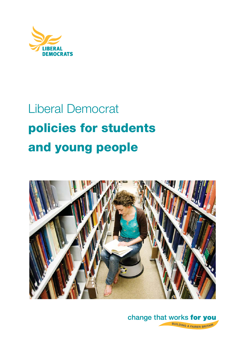

# Liberal Democrat **policies for students and young people**



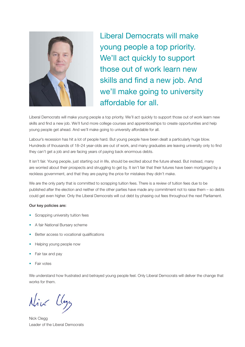

Liberal Democrats will make young people a top priority. We'll act quickly to support those out of work learn new skills and find a new job. And we'll make going to university affordable for all.

Liberal Democrats will make young people a top priority. We'll act quickly to support those out of work learn new skills and find a new job. We'll fund more college courses and apprenticeships to create opportunities and help young people get ahead. And we'll make going to university affordable for all.

Labour's recession has hit a lot of people hard. But young people have been dealt a particularly huge blow. Hundreds of thousands of 18–24 year-olds are out of work, and many graduates are leaving university only to find they can't get a job and are facing years of paying back enormous debts.

It isn't fair. Young people, just starting out in life, should be excited about the future ahead. But instead, many are worried about their prospects and struggling to get by. It isn't fair that their futures have been mortgaged by a reckless government, and that they are paying the price for mistakes they didn't make.

We are the only party that is committed to scrapping tuition fees. There is a review of tuition fees due to be published after the election and neither of the other parties have made any commitment not to raise them – so debts could get even higher. Only the Liberal Democrats will cut debt by phasing out fees throughout the next Parliament.

#### **Our key policies are:**

- Scrapping university tuition fees
- A fair National Bursary scheme
- Better access to vocational qualifications
- Helping young people now
- Fair tax and pay
- Fair votes

We understand how frustrated and betrayed young people feel. Only Liberal Democrats will deliver the change that works for them.

Nick Class

Nick Clegg Leader of the Liberal Democrats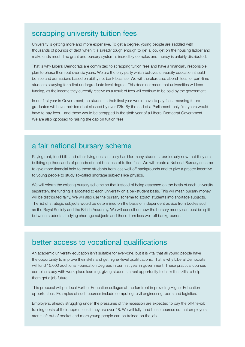#### scrapping university tuition fees

University is getting more and more expensive. To get a degree, young people are saddled with thousands of pounds of debt when it is already tough enough to get a job, get on the housing ladder and make ends meet. The grant and bursary system is incredibly complex and money is unfairly distributed.

That is why Liberal Democrats are committed to scrapping tuition fees and have a financially responsible plan to phase them out over six years. We are the only party which believes university education should be free and admissions based on ability not bank balance. We will therefore also abolish fees for part-time students studying for a first undergraduate level degree. This does not mean that universities will lose funding, as the income they currently receive as a result of fees will continue to be paid by the government.

In our first year in Government, no student in their final year would have to pay fees, meaning future graduates will have their fee debt slashed by over £3k. By the end of a Parliament, only first years would have to pay fees – and these would be scrapped in the sixth year of a Liberal Democrat Government. We are also opposed to raising the cap on tuition fees

# a fair national bursary scheme

Paying rent, food bills and other living costs is really hard for many students, particularly now that they are building up thousands of pounds of debt because of tuition fees. We will create a National Bursary scheme to give more financial help to those students from less well-off backgrounds and to give a greater incentive to young people to study so-called shortage subjects like physics.

We will reform the existing bursary scheme so that instead of being assessed on the basis of each university separately, the funding is allocated to each university on a per-student basis. This will mean bursary money will be distributed fairly. We will also use the bursary scheme to attract students into shortage subjects. The list of strategic subjects would be determined on the basis of independent advice from bodies such as the Royal Society and the British Academy. We will consult on how the bursary money can best be split between students studying shortage subjects and those from less well-off backgrounds.

#### better access to vocational qualifications

An academic university education isn't suitable for everyone, but it is vital that all young people have the opportunity to improve their skills and get higher-level qualifications. That is why Liberal Democrats will fund 15,000 additional Foundation Degrees in our first year in government. These practical courses combine study with work-place learning, giving students a real opportunity to learn the skills to help them get a job future.

This proposal will put local Further Education colleges at the forefront in providing Higher Education opportunities. Examples of such courses include computing, civil engineering, ports and logistics.

Employers, already struggling under the pressures of the recession are expected to pay the off-the-job training costs of their apprentices if they are over 18. We will fully fund these courses so that employers aren't left out of pocket and more young people can be trained on the job.